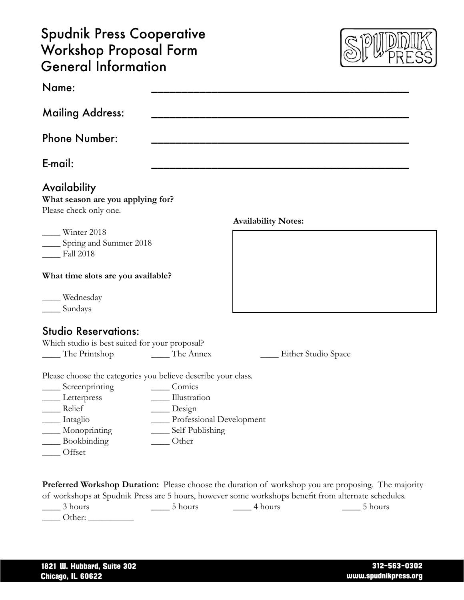## Spudnik Press Cooperative Workshop Proposal Form General Information



| Name:                                                                       |                          |                                                                                                                                                                                                                   |
|-----------------------------------------------------------------------------|--------------------------|-------------------------------------------------------------------------------------------------------------------------------------------------------------------------------------------------------------------|
| <b>Mailing Address:</b>                                                     |                          |                                                                                                                                                                                                                   |
| <b>Phone Number:</b>                                                        |                          |                                                                                                                                                                                                                   |
| E-mail:                                                                     |                          |                                                                                                                                                                                                                   |
| Availability<br>What season are you applying for?<br>Please check only one. |                          |                                                                                                                                                                                                                   |
|                                                                             |                          | <b>Availability Notes:</b>                                                                                                                                                                                        |
| $\frac{1}{2}$ Winter 2018<br>Spring and Summer 2018<br><b>Fall 2018</b>     |                          |                                                                                                                                                                                                                   |
| What time slots are you available?                                          |                          |                                                                                                                                                                                                                   |
| ___ Wednesday<br>Sundays                                                    |                          |                                                                                                                                                                                                                   |
| <b>Studio Reservations:</b>                                                 |                          |                                                                                                                                                                                                                   |
| Which studio is best suited for your proposal?                              |                          |                                                                                                                                                                                                                   |
| The Printshop                                                               | The Annex                | Either Studio Space                                                                                                                                                                                               |
| Please choose the categories you believe describe your class.               |                          |                                                                                                                                                                                                                   |
| ____ Screenprinting                                                         | Comics                   |                                                                                                                                                                                                                   |
| Letterpress                                                                 | Illustration             |                                                                                                                                                                                                                   |
| Relief                                                                      | Design                   |                                                                                                                                                                                                                   |
| Intaglio                                                                    | Professional Development |                                                                                                                                                                                                                   |
| Monoprinting                                                                | Self-Publishing          |                                                                                                                                                                                                                   |
| Bookbinding                                                                 | Other                    |                                                                                                                                                                                                                   |
| Offset                                                                      |                          |                                                                                                                                                                                                                   |
|                                                                             |                          |                                                                                                                                                                                                                   |
|                                                                             |                          | <b>Preferred Workshop Duration:</b> Please choose the duration of workshop you are proposing. The majority<br>of workshops at Spudnik Press are 5 hours, however some workshops benefit from alternate schedules. |

\_\_\_\_ 3 hours \_\_\_\_ 5 hours \_\_\_\_ 4 hours \_\_\_\_ 5 hours \_\_\_\_ Other: \_\_\_\_\_\_\_\_\_\_

1821 W. Hubbard, Suite 302 Chicago, IL 60622